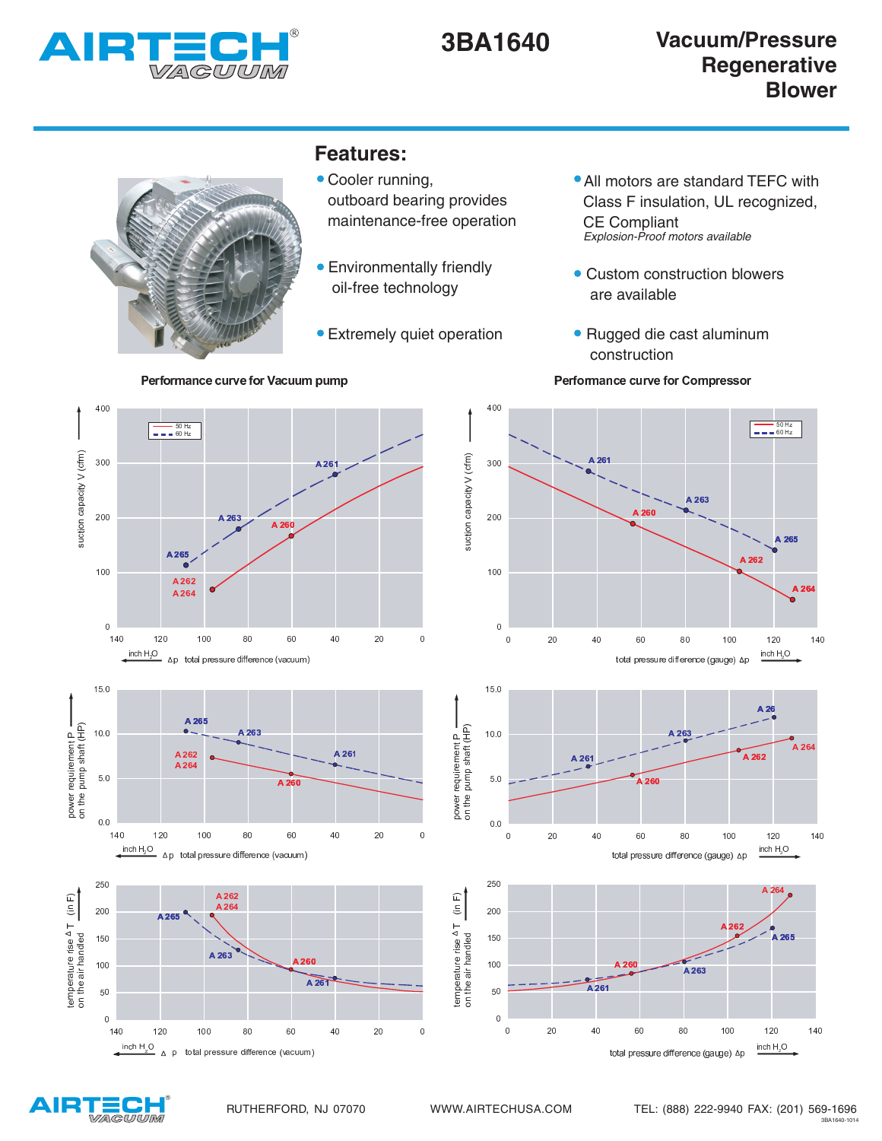



## **Features:**

- Cooler running, outboard bearing provides maintenance-free operation
- Environmentally friendly oil-free technology
- Extremely quiet operation

De Paris de la Paris de la Paris de la Paris de la Paris de la Paris de la Paris de la Paris de la Paris de la

- All motors are standard TEFC with Class F insulation, UL recognized, CE Compliant Explosion-Proof motors available
- Custom construction blowers are available
- Rugged die cast aluminum construction



- - - -